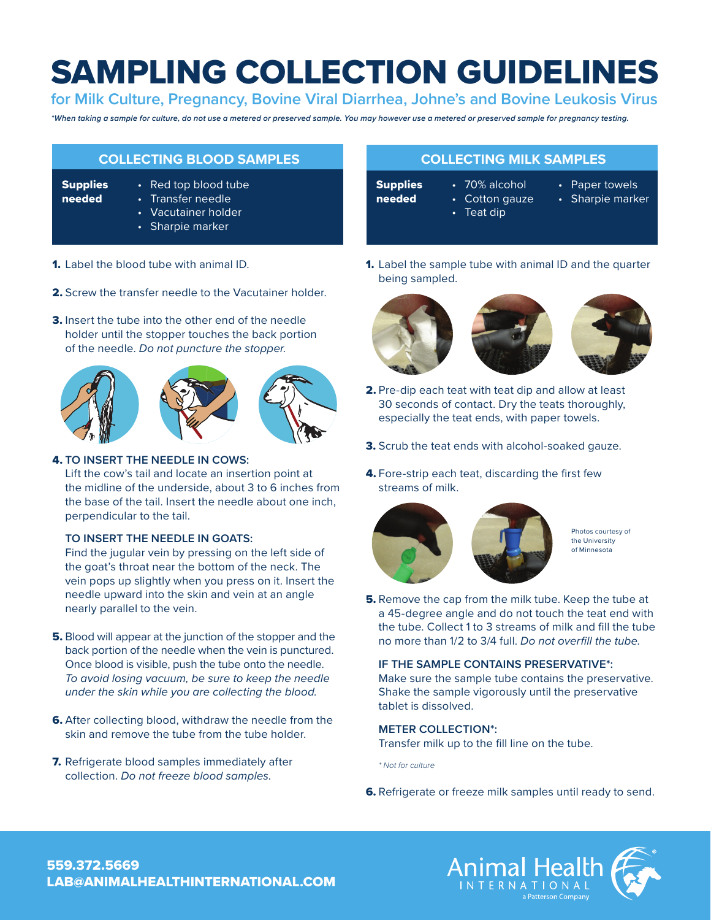# SAMPLING COLLECTION GUIDELINES

**for Milk Culture, Pregnancy, Bovine Viral Diarrhea, Johne's and Bovine Leukosis Virus**

*\*When taking a sample for culture, do not use a metered or preserved sample. You may however use a metered or preserved sample for pregnancy testing.*

| <b>COLLECTING BLOOD SAMPLES</b> |                                                                                            |
|---------------------------------|--------------------------------------------------------------------------------------------|
| <b>Supplies</b><br>needed       | • Red top blood tube<br>• Transfer needle<br>$\cdot$ Vacutainer holder<br>• Sharpie marker |

- 1. Label the blood tube with animal ID.
- 2. Screw the transfer needle to the Vacutainer holder
- **3.** Insert the tube into the other end of the needle holder until the stopper touches the back portion of the needle. *Do not puncture the stopper.*







### 4. **TO INSERT THE NEEDLE IN COWS:**

Lift the cow's tail and locate an insertion point at the midline of the underside, about 3 to 6 inches from the base of the tail. Insert the needle about one inch, perpendicular to the tail.

#### **TO INSERT THE NEEDLE IN GOATS:**

Find the jugular vein by pressing on the left side of the goat's throat near the bottom of the neck. The vein pops up slightly when you press on it. Insert the needle upward into the skin and vein at an angle nearly parallel to the vein.

- 5. Blood will appear at the junction of the stopper and the back portion of the needle when the vein is punctured. Once blood is visible, push the tube onto the needle. *To avoid losing vacuum, be sure to keep the needle under the skin while you are collecting the blood.*
- **6.** After collecting blood, withdraw the needle from the skin and remove the tube from the tube holder.
- **7.** Refrigerate blood samples immediately after collection. *Do not freeze blood samples.*

# **COLLECTING MILK SAMPLES**

- **Supplies**
- needed
- 70% alcohol • Cotton gauze
- 
- Paper towels
- Sharpie marker
- Teat dip
- 
- 
- 
- 
- -
- -
- 
- 
- 
- 
- 
- 
- 
- 
- 
- 
- 
- 
- -
- 
- 
- 
- 1. Label the sample tube with animal ID and the quarter being sampled.



- 2. Pre-dip each teat with teat dip and allow at least 30 seconds of contact. Dry the teats thoroughly, especially the teat ends, with paper towels.
- **3.** Scrub the teat ends with alcohol-soaked gauze.
- 4. Fore-strip each teat, discarding the first few streams of milk.



Photos courtesy of the University of Minnesota

**5.** Remove the cap from the milk tube. Keep the tube at a 45-degree angle and do not touch the teat end with the tube. Collect 1 to 3 streams of milk and fill the tube no more than 1/2 to 3/4 full. *Do not overfill the tube.*

# **IF THE SAMPLE CONTAINS PRESERVATIVE\*:**

Make sure the sample tube contains the preservative. Shake the sample vigorously until the preservative tablet is dissolved.

### **METER COLLECTION\*:**

Transfer milk up to the fill line on the tube.

*\* Not for culture*

6. Refrigerate or freeze milk samples until ready to send.